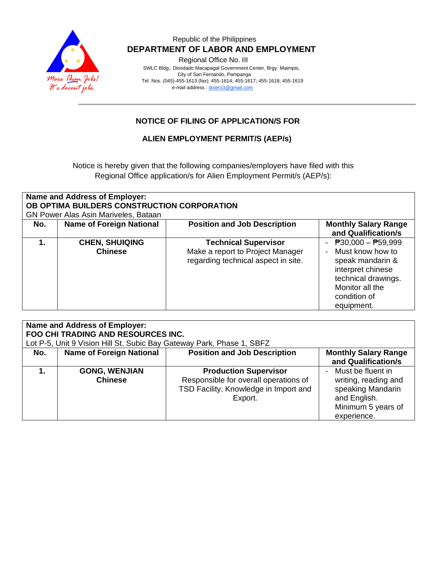

#### Republic of the Philippines  **DEPARTMENT OF LABOR AND EMPLOYMENT**

Regional Office No. III

 SWLC Bldg., Diosdado Macapagal Government Center, Brgy. Maimpis, City of San Fernando, Pampanga Tel. Nos. (045)-455-1613 (fax): 455-1614; 455-1617; 455-1618; 455-1619 e-mail address [: dolero3@gmail.com](mailto:dolero3@gmail.com)

## **NOTICE OF FILING OF APPLICATION/S FOR**

#### **ALIEN EMPLOYMENT PERMIT/S (AEP/s)**

Notice is hereby given that the following companies/employers have filed with this Regional Office application/s for Alien Employment Permit/s (AEP/s):

| <b>Name and Address of Employer:</b><br>OB OPTIMA BUILDERS CONSTRUCTION CORPORATION<br>GN Power Alas Asin Mariveles, Bataan |                                         |                                                                                                        |                                                                                                                                                                                |  |  |  |
|-----------------------------------------------------------------------------------------------------------------------------|-----------------------------------------|--------------------------------------------------------------------------------------------------------|--------------------------------------------------------------------------------------------------------------------------------------------------------------------------------|--|--|--|
| No.                                                                                                                         | <b>Name of Foreign National</b>         | <b>Position and Job Description</b>                                                                    | <b>Monthly Salary Range</b><br>and Qualification/s                                                                                                                             |  |  |  |
|                                                                                                                             | <b>CHEN, SHUIQING</b><br><b>Chinese</b> | <b>Technical Supervisor</b><br>Make a report to Project Manager<br>regarding technical aspect in site. | $\overline{P}30,000 - \overline{P}59,999$<br>Must know how to<br>speak mandarin &<br>interpret chinese<br>technical drawings.<br>Monitor all the<br>condition of<br>equipment. |  |  |  |

| Name and Address of Employer:<br><b>FOO CHI TRADING AND RESOURCES INC.</b> |                                 |                                       |                             |  |  |  |  |
|----------------------------------------------------------------------------|---------------------------------|---------------------------------------|-----------------------------|--|--|--|--|
| Lot P-5, Unit 9 Vision Hill St. Subic Bay Gateway Park, Phase 1, SBFZ      |                                 |                                       |                             |  |  |  |  |
| No.                                                                        | <b>Name of Foreign National</b> | <b>Position and Job Description</b>   | <b>Monthly Salary Range</b> |  |  |  |  |
|                                                                            |                                 |                                       | and Qualification/s         |  |  |  |  |
|                                                                            | <b>GONG, WENJIAN</b>            | <b>Production Supervisor</b>          | Must be fluent in           |  |  |  |  |
|                                                                            | <b>Chinese</b>                  | Responsible for overall operations of | writing, reading and        |  |  |  |  |
|                                                                            |                                 | TSD Facility. Knowledge in Import and | speaking Mandarin           |  |  |  |  |
|                                                                            |                                 | Export.                               | and English.                |  |  |  |  |
|                                                                            |                                 |                                       | Minimum 5 years of          |  |  |  |  |
|                                                                            |                                 |                                       | experience.                 |  |  |  |  |